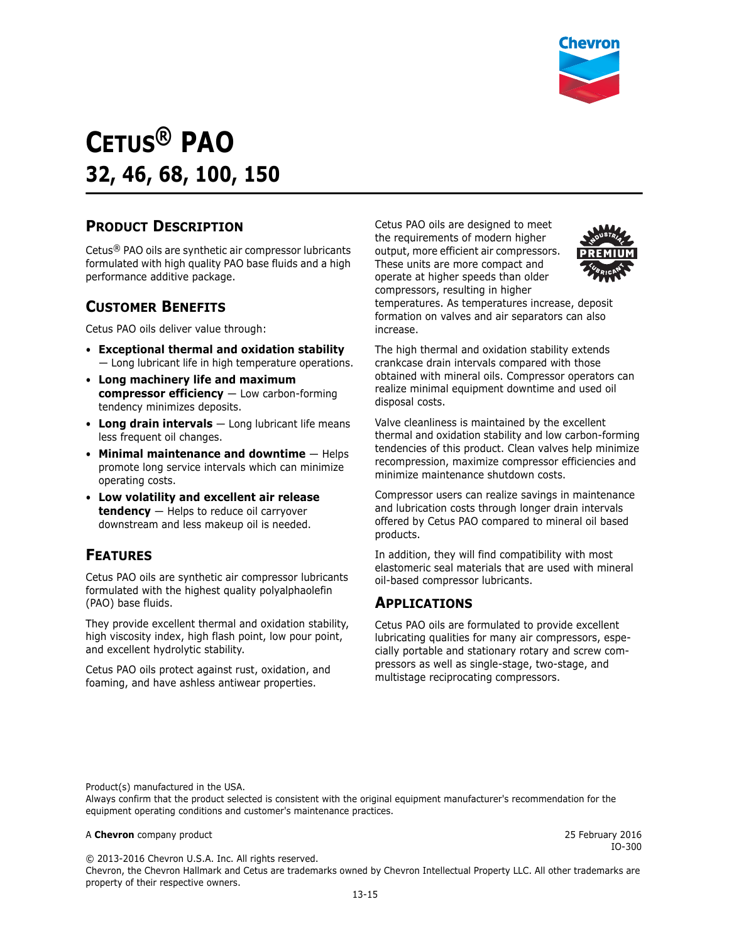

# **CETUS® PAO 32, 46, 68, 100, 150**

### **PRODUCT DESCRIPTION**

Cetus® PAO oils are synthetic air compressor lubricants formulated with high quality PAO base fluids and a high performance additive package.

### **CUSTOMER BENEFITS**

Cetus PAO oils deliver value through:

- **Exceptional thermal and oxidation stability** — Long lubricant life in high temperature operations.
- **Long machinery life and maximum compressor efficiency** — Low carbon-forming tendency minimizes deposits.
- **Long drain intervals** Long lubricant life means less frequent oil changes.
- **Minimal maintenance and downtime** Helps promote long service intervals which can minimize operating costs.
- **Low volatility and excellent air release tendency** — Helps to reduce oil carryover downstream and less makeup oil is needed.

### **FEATURES**

Cetus PAO oils are synthetic air compressor lubricants formulated with the highest quality polyalphaolefin (PAO) base fluids.

They provide excellent thermal and oxidation stability, high viscosity index, high flash point, low pour point, and excellent hydrolytic stability.

Cetus PAO oils protect against rust, oxidation, and foaming, and have ashless antiwear properties.

Cetus PAO oils are designed to meet the requirements of modern higher output, more efficient air compressors. These units are more compact and operate at higher speeds than older compressors, resulting in higher temperatures. As temperatures increase, deposit formation on valves and air separators can also increase.



The high thermal and oxidation stability extends crankcase drain intervals compared with those obtained with mineral oils. Compressor operators can realize minimal equipment downtime and used oil disposal costs.

Valve cleanliness is maintained by the excellent thermal and oxidation stability and low carbon-forming tendencies of this product. Clean valves help minimize recompression, maximize compressor efficiencies and minimize maintenance shutdown costs.

Compressor users can realize savings in maintenance and lubrication costs through longer drain intervals offered by Cetus PAO compared to mineral oil based products.

In addition, they will find compatibility with most elastomeric seal materials that are used with mineral oil-based compressor lubricants.

#### **APPLICATIONS**

Cetus PAO oils are formulated to provide excellent lubricating qualities for many air compressors, especially portable and stationary rotary and screw compressors as well as single-stage, two-stage, and multistage reciprocating compressors.

Product(s) manufactured in the USA.

Always confirm that the product selected is consistent with the original equipment manufacturer's recommendation for the equipment operating conditions and customer's maintenance practices.

#### A **Chevron** company product 25 February 2016

IO-300

© 2013-2016 Chevron U.S.A. Inc. All rights reserved.

Chevron, the Chevron Hallmark and Cetus are trademarks owned by Chevron Intellectual Property LLC. All other trademarks are property of their respective owners.